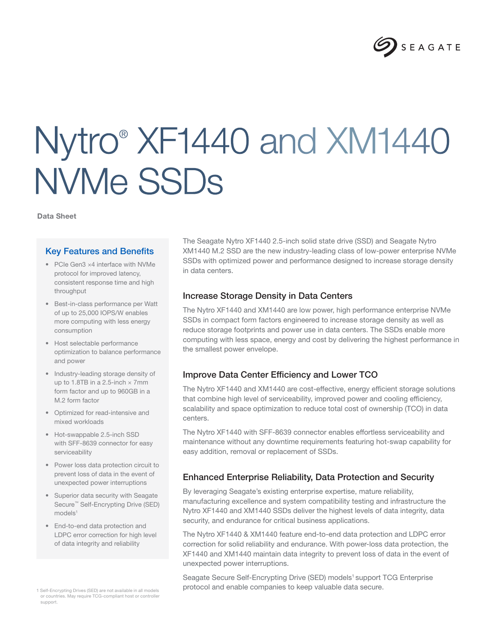

# Nytro® XF1440 and XM1440 NVMe SSDs

Data Sheet

#### Key Features and Benefits

- PCIe Gen3 ×4 interface with NVMe protocol for improved latency, consistent response time and high throughput
- Best-in-class performance per Watt of up to 25,000 IOPS/W enables more computing with less energy consumption
- Host selectable performance optimization to balance performance and power
- Industry-leading storage density of up to 1.8TB in a 2.5-inch  $\times$  7mm form factor and up to 960GB in a M.2 form factor
- Optimized for read-intensive and mixed workloads
- Hot-swappable 2.5-inch SSD with SFF-8639 connector for easy serviceability
- Power loss data protection circuit to prevent loss of data in the event of unexpected power interruptions
- Superior data security with Seagate Secure™ Self-Encrypting Drive (SED) models<sup>1</sup>
- End-to-end data protection and LDPC error correction for high level of data integrity and reliability

or countries. May require TCG-compliant host or controller support.

The Seagate Nytro XF1440 2.5-inch solid state drive (SSD) and Seagate Nytro XM1440 M.2 SSD are the new industry-leading class of low-power enterprise NVMe SSDs with optimized power and performance designed to increase storage density in data centers.

#### Increase Storage Density in Data Centers

The Nytro XF1440 and XM1440 are low power, high performance enterprise NVMe SSDs in compact form factors engineered to increase storage density as well as reduce storage footprints and power use in data centers. The SSDs enable more computing with less space, energy and cost by delivering the highest performance in the smallest power envelope.

## Improve Data Center Efficiency and Lower TCO

The Nytro XF1440 and XM1440 are cost-effective, energy efficient storage solutions that combine high level of serviceability, improved power and cooling efficiency, scalability and space optimization to reduce total cost of ownership (TCO) in data centers.

The Nytro XF1440 with SFF-8639 connector enables effortless serviceability and maintenance without any downtime requirements featuring hot-swap capability for easy addition, removal or replacement of SSDs.

## Enhanced Enterprise Reliability, Data Protection and Security

By leveraging Seagate's existing enterprise expertise, mature reliability, manufacturing excellence and system compatibility testing and infrastructure the Nytro XF1440 and XM1440 SSDs deliver the highest levels of data integrity, data security, and endurance for critical business applications.

The Nytro XF1440 & XM1440 feature end-to-end data protection and LDPC error correction for solid reliability and endurance. With power-loss data protection, the XF1440 and XM1440 maintain data integrity to prevent loss of data in the event of unexpected power interruptions.

Seagate Secure Self-Encrypting Drive (SED) models<sup>1</sup> support TCG Enterprise 1 Self-Encrypting Drives (SED) are not available in all models **in protocol and enable companies to keep valuable data secure.**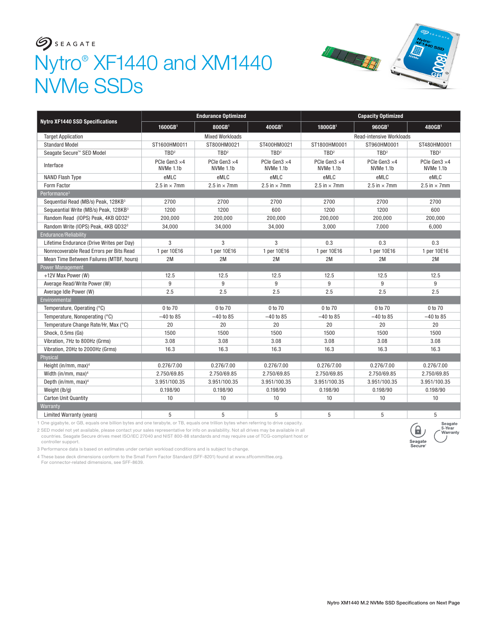# $S$ Nytro® XF1440 and XM1440 NVMe SSDs



|                                                   | <b>Endurance Optimized</b> |                           |                           | <b>Capacity Optimized</b>          |                                    |                           |
|---------------------------------------------------|----------------------------|---------------------------|---------------------------|------------------------------------|------------------------------------|---------------------------|
| <b>Nytro XF1440 SSD Specifications</b>            | 1600GB <sup>1</sup>        | 800GB1                    | 400GB <sup>1</sup>        | 1800GB <sup>1</sup>                | 960GB <sup>1</sup>                 | 480GB <sup>1</sup>        |
| <b>Target Application</b>                         |                            | <b>Mixed Workloads</b>    |                           | <b>Read-intensive Workloads</b>    |                                    |                           |
| <b>Standard Model</b>                             | ST1600HM0011               | ST800HM0021               | ST400HM0021               | ST1800HM0001                       | ST960HM0001                        | ST480HM0001               |
| Seagate Secure™ SED Model                         | TBD <sup>2</sup>           | TBD <sup>2</sup>          | TBD <sup>2</sup>          | TBD <sup>2</sup>                   | TBD <sup>2</sup>                   | TBD <sup>2</sup>          |
| Interface                                         | PCle Gen3 ×4<br>NVMe 1.1b  | PCIe Gen3 ×4<br>NVMe 1.1b | PCIe Gen3 ×4<br>NVMe 1.1b | PCIe Gen $3 \times 4$<br>NVMe 1.1b | PCIe Gen $3 \times 4$<br>NVMe 1.1b | PCIe Gen3 ×4<br>NVMe 1.1b |
| NAND Flash Type                                   | eMLC                       | eMLC                      | eMLC                      | eMLC                               | eMLC                               | eMLC                      |
| Form Factor                                       | 2.5 in $\times$ 7mm        | 2.5 in $\times$ 7mm       | 2.5 in $\times$ 7mm       | 2.5 in $\times$ 7mm                | 2.5 in $\times$ 7mm                | 2.5 in $\times$ 7mm       |
| Performance <sup>3</sup>                          |                            |                           |                           |                                    |                                    |                           |
| Sequential Read (MB/s) Peak, 128KB <sup>3</sup>   | 2700                       | 2700                      | 2700                      | 2700                               | 2700                               | 2700                      |
| Sequeantial Write (MB/s) Peak, 128KB <sup>3</sup> | 1200                       | 1200                      | 600                       | 1200                               | 1200                               | 600                       |
| Random Read (IOPS) Peak, 4KB QD32 <sup>3</sup>    | 200,000                    | 200,000                   | 200,000                   | 200,000                            | 200,000                            | 200,000                   |
| Random Write (IOPS) Peak, 4KB QD32 <sup>3</sup>   | 34,000                     | 34,000                    | 34,000                    | 3,000                              | 7,000                              | 6,000                     |
| Endurance/Reliability                             |                            |                           |                           |                                    |                                    |                           |
| Lifetime Endurance (Drive Writes per Day)         | 3                          | 3                         | 3                         | 0.3                                | 0.3                                | 0.3                       |
| Nonrecoverable Read Errors per Bits Read          | 1 per 10E16                | 1 per 10E16               | 1 per 10E16               | 1 per 10E16                        | 1 per 10E16                        | 1 per 10E16               |
| Mean Time Between Failures (MTBF, hours)          | 2M                         | 2M                        | 2M                        | 2M                                 | 2M                                 | 2M                        |
| <b>Power Management</b>                           |                            |                           |                           |                                    |                                    |                           |
| +12V Max Power (W)                                | 12.5                       | 12.5                      | 12.5                      | 12.5                               | 12.5                               | 12.5                      |
| Average Read/Write Power (W)                      | 9                          | 9                         | 9                         | 9                                  | 9                                  | 9                         |
| Average Idle Power (W)                            | 2.5                        | 2.5                       | 2.5                       | 2.5                                | 2.5                                | 2.5                       |
| Environmental                                     |                            |                           |                           |                                    |                                    |                           |
| Temperature, Operating (°C)                       | 0 to 70                    | 0 to 70                   | 0 to 70                   | 0 to 70                            | 0 to 70                            | 0 to 70                   |
| Temperature, Nonoperating (°C)                    | $-40$ to 85                | $-40$ to 85               | $-40$ to 85               | $-40$ to 85                        | $-40$ to 85                        | $-40$ to 85               |
| Temperature Change Rate/Hr, Max (°C)              | 20                         | 20                        | 20                        | 20                                 | 20                                 | 20                        |
| Shock, 0.5ms (Gs)                                 | 1500                       | 1500                      | 1500                      | 1500                               | 1500                               | 1500                      |
| Vibration, 7Hz to 800Hz (Grms)                    | 3.08                       | 3.08                      | 3.08                      | 3.08                               | 3.08                               | 3.08                      |
| Vibration, 20Hz to 2000Hz (Grms)                  | 16.3                       | 16.3                      | 16.3                      | 16.3                               | 16.3                               | 16.3                      |
| Physical                                          |                            |                           |                           |                                    |                                    |                           |
| Height (in/mm, max) <sup>4</sup>                  | 0.276/7.00                 | 0.276/7.00                | 0.276/7.00                | 0.276/7.00                         | 0.276/7.00                         | 0.276/7.00                |
| Width (in/mm, max) <sup>4</sup>                   | 2.750/69.85                | 2.750/69.85               | 2.750/69.85               | 2.750/69.85                        | 2.750/69.85                        | 2.750/69.85               |
| Depth (in/mm, max) <sup>4</sup>                   | 3.951/100.35               | 3.951/100.35              | 3.951/100.35              | 3.951/100.35                       | 3.951/100.35                       | 3.951/100.35              |
| Weight (lb/g)                                     | 0.198/90                   | 0.198/90                  | 0.198/90                  | 0.198/90                           | 0.198/90                           | 0.198/90                  |
| <b>Carton Unit Quantity</b>                       | 10                         | 10                        | 10                        | 10                                 | 10                                 | 10                        |
| Warranty                                          |                            |                           |                           |                                    |                                    |                           |
| <b>Limited Warranty (years)</b>                   | 5                          | 5                         | 5                         | 5                                  | 5                                  | 5                         |

1 One gigabyte, or GB, equals one billion bytes and one terabyte, or TB, equals one trillion bytes when referring to drive capacity.

2 SED model not yet available, please contact your sales representative for info on availability. Not all drives may be available in all<br>countries. Seagate Secure drives meet ISO/IEC 27040 and NIST 800-88 standards and may controller support.

3 Performance data is based on estimates under certain workload conditions and is subject to change.

4 These base deck dimensions conform to the Small Form Factor Standard (SFF-8201) found at www.sffcommittee.org.

For connector-related dimensions, see SFF-8639.

,<del>oagato</del><br>i-Year<br>Varrantv

Seagate<br>Secure